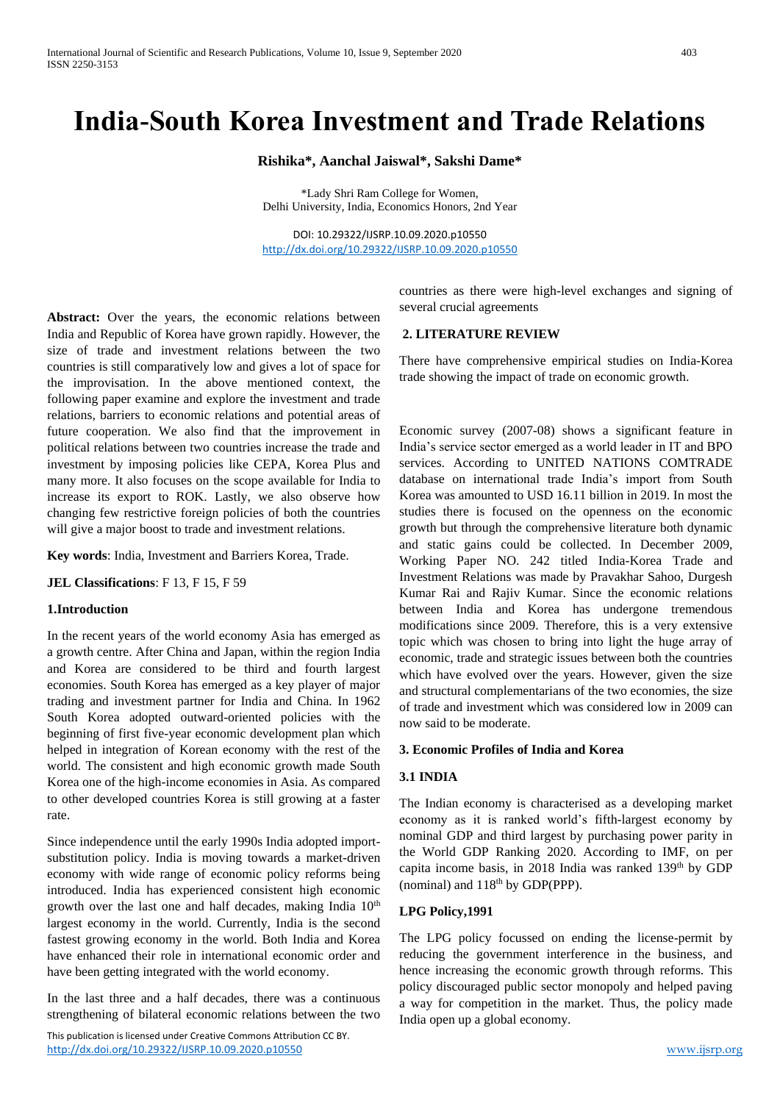# **India-South Korea Investment and Trade Relations**

#### **Rishika\*, Aanchal Jaiswal\*, Sakshi Dame\***

\*Lady Shri Ram College for Women, Delhi University, India, Economics Honors, 2nd Year

DOI: 10.29322/IJSRP.10.09.2020.p10550 <http://dx.doi.org/10.29322/IJSRP.10.09.2020.p10550>

Abstract: Over the years, the economic relations between India and Republic of Korea have grown rapidly. However, the size of trade and investment relations between the two countries is still comparatively low and gives a lot of space for the improvisation. In the above mentioned context, the following paper examine and explore the investment and trade relations, barriers to economic relations and potential areas of future cooperation. We also find that the improvement in political relations between two countries increase the trade and investment by imposing policies like CEPA, Korea Plus and many more. It also focuses on the scope available for India to increase its export to ROK. Lastly, we also observe how changing few restrictive foreign policies of both the countries will give a major boost to trade and investment relations.

**Key words**: India, Investment and Barriers Korea, Trade.

**JEL Classifications**: F 13, F 15, F 59

#### **1.Introduction**

In the recent years of the world economy Asia has emerged as a growth centre. After China and Japan, within the region India and Korea are considered to be third and fourth largest economies. South Korea has emerged as a key player of major trading and investment partner for India and China. In 1962 South Korea adopted outward-oriented policies with the beginning of first five-year economic development plan which helped in integration of Korean economy with the rest of the world. The consistent and high economic growth made South Korea one of the high-income economies in Asia. As compared to other developed countries Korea is still growing at a faster rate.

Since independence until the early 1990s India adopted importsubstitution policy. India is moving towards a market-driven economy with wide range of economic policy reforms being introduced. India has experienced consistent high economic growth over the last one and half decades, making India 10<sup>th</sup> largest economy in the world. Currently, India is the second fastest growing economy in the world. Both India and Korea have enhanced their role in international economic order and have been getting integrated with the world economy.

In the last three and a half decades, there was a continuous strengthening of bilateral economic relations between the two

This publication is licensed under Creative Commons Attribution CC BY. <http://dx.doi.org/10.29322/IJSRP.10.09.2020.p10550> [www.ijsrp.org](http://ijsrp.org/)

countries as there were high-level exchanges and signing of several crucial agreements

#### **2. LITERATURE REVIEW**

There have comprehensive empirical studies on India-Korea trade showing the impact of trade on economic growth.

Economic survey (2007-08) shows a significant feature in India's service sector emerged as a world leader in IT and BPO services. According to UNITED NATIONS COMTRADE database on international trade India's import from South Korea was amounted to USD 16.11 billion in 2019. In most the studies there is focused on the openness on the economic growth but through the comprehensive literature both dynamic and static gains could be collected. In December 2009, Working Paper NO. 242 titled India-Korea Trade and Investment Relations was made by Pravakhar Sahoo, Durgesh Kumar Rai and Rajiv Kumar. Since the economic relations between India and Korea has undergone tremendous modifications since 2009. Therefore, this is a very extensive topic which was chosen to bring into light the huge array of economic, trade and strategic issues between both the countries which have evolved over the years. However, given the size and structural complementarians of the two economies, the size of trade and investment which was considered low in 2009 can now said to be moderate.

#### **3. Economic Profiles of India and Korea**

#### **3.1 INDIA**

The Indian economy is characterised as a developing market economy as it is ranked world's fifth-largest economy by nominal GDP and third largest by purchasing power parity in the World GDP Ranking 2020. According to IMF, on per capita income basis, in 2018 India was ranked 139<sup>th</sup> by GDP (nominal) and  $118<sup>th</sup>$  by GDP(PPP).

#### **LPG Policy,1991**

The LPG policy focussed on ending the license-permit by reducing the government interference in the business, and hence increasing the economic growth through reforms. This policy discouraged public sector monopoly and helped paving a way for competition in the market. Thus, the policy made India open up a global economy.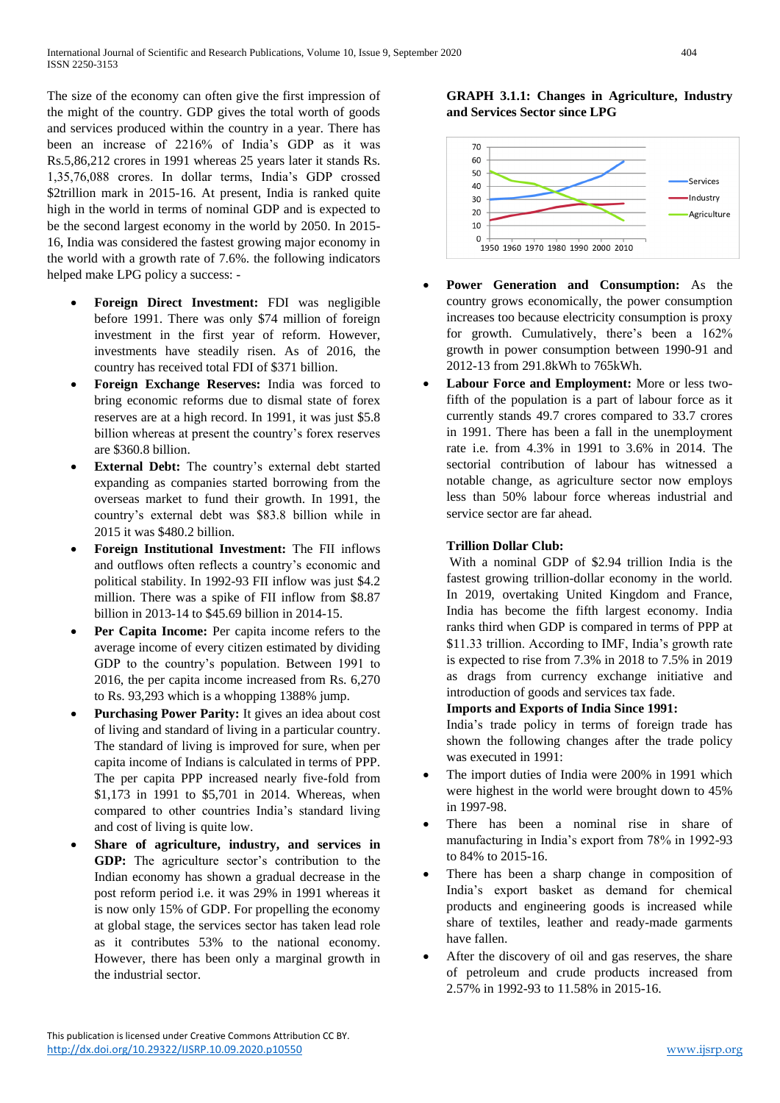The size of the economy can often give the first impression of the might of the country. GDP gives the total worth of goods and services produced within the country in a year. There has been an increase of 2216% of India's GDP as it was Rs.5,86,212 crores in 1991 whereas 25 years later it stands Rs. 1,35,76,088 crores. In dollar terms, India's GDP crossed \$2trillion mark in 2015-16. At present, India is ranked quite high in the world in terms of nominal GDP and is expected to be the second largest economy in the world by 2050. In 2015- 16, India was considered the fastest growing major economy in the world with a growth rate of 7.6%. the following indicators helped make LPG policy a success: -

- **Foreign Direct Investment:** FDI was negligible before 1991. There was only \$74 million of foreign investment in the first year of reform. However, investments have steadily risen. As of 2016, the country has received total FDI of \$371 billion.
- **Foreign Exchange Reserves:** India was forced to bring economic reforms due to dismal state of forex reserves are at a high record. In 1991, it was just \$5.8 billion whereas at present the country's forex reserves are \$360.8 billion.
- **External Debt:** The country's external debt started expanding as companies started borrowing from the overseas market to fund their growth. In 1991, the country's external debt was \$83.8 billion while in 2015 it was \$480.2 billion.
- **Foreign Institutional Investment:** The FII inflows and outflows often reflects a country's economic and political stability. In 1992-93 FII inflow was just \$4.2 million. There was a spike of FII inflow from \$8.87 billion in 2013-14 to \$45.69 billion in 2014-15.
- **Per Capita Income:** Per capita income refers to the average income of every citizen estimated by dividing GDP to the country's population. Between 1991 to 2016, the per capita income increased from Rs. 6,270 to Rs. 93,293 which is a whopping 1388% jump.
- **Purchasing Power Parity:** It gives an idea about cost of living and standard of living in a particular country. The standard of living is improved for sure, when per capita income of Indians is calculated in terms of PPP. The per capita PPP increased nearly five-fold from \$1,173 in 1991 to \$5,701 in 2014. Whereas, when compared to other countries India's standard living and cost of living is quite low.
- **Share of agriculture, industry, and services in GDP:** The agriculture sector's contribution to the Indian economy has shown a gradual decrease in the post reform period i.e. it was 29% in 1991 whereas it is now only 15% of GDP. For propelling the economy at global stage, the services sector has taken lead role as it contributes 53% to the national economy. However, there has been only a marginal growth in the industrial sector.

# **GRAPH 3.1.1: Changes in Agriculture, Industry and Services Sector since LPG**



- **Power Generation and Consumption:** As the country grows economically, the power consumption increases too because electricity consumption is proxy for growth. Cumulatively, there's been a 162% growth in power consumption between 1990-91 and 2012-13 from 291.8kWh to 765kWh.
- **Labour Force and Employment:** More or less twofifth of the population is a part of labour force as it currently stands 49.7 crores compared to 33.7 crores in 1991. There has been a fall in the unemployment rate i.e. from 4.3% in 1991 to 3.6% in 2014. The sectorial contribution of labour has witnessed a notable change, as agriculture sector now employs less than 50% labour force whereas industrial and service sector are far ahead.

# **Trillion Dollar Club:**

With a nominal GDP of \$2.94 trillion India is the fastest growing trillion-dollar economy in the world. In 2019, overtaking United Kingdom and France, India has become the fifth largest economy. India ranks third when GDP is compared in terms of PPP at \$11.33 trillion. According to IMF, India's growth rate is expected to rise from 7.3% in 2018 to 7.5% in 2019 as drags from currency exchange initiative and introduction of goods and services tax fade.

## **Imports and Exports of India Since 1991:**

India's trade policy in terms of foreign trade has shown the following changes after the trade policy was executed in 1991:

- The import duties of India were 200% in 1991 which were highest in the world were brought down to 45% in 1997-98.
- There has been a nominal rise in share of manufacturing in India's export from 78% in 1992-93 to 84% to 2015-16.
- There has been a sharp change in composition of India's export basket as demand for chemical products and engineering goods is increased while share of textiles, leather and ready-made garments have fallen.
- After the discovery of oil and gas reserves, the share of petroleum and crude products increased from 2.57% in 1992-93 to 11.58% in 2015-16.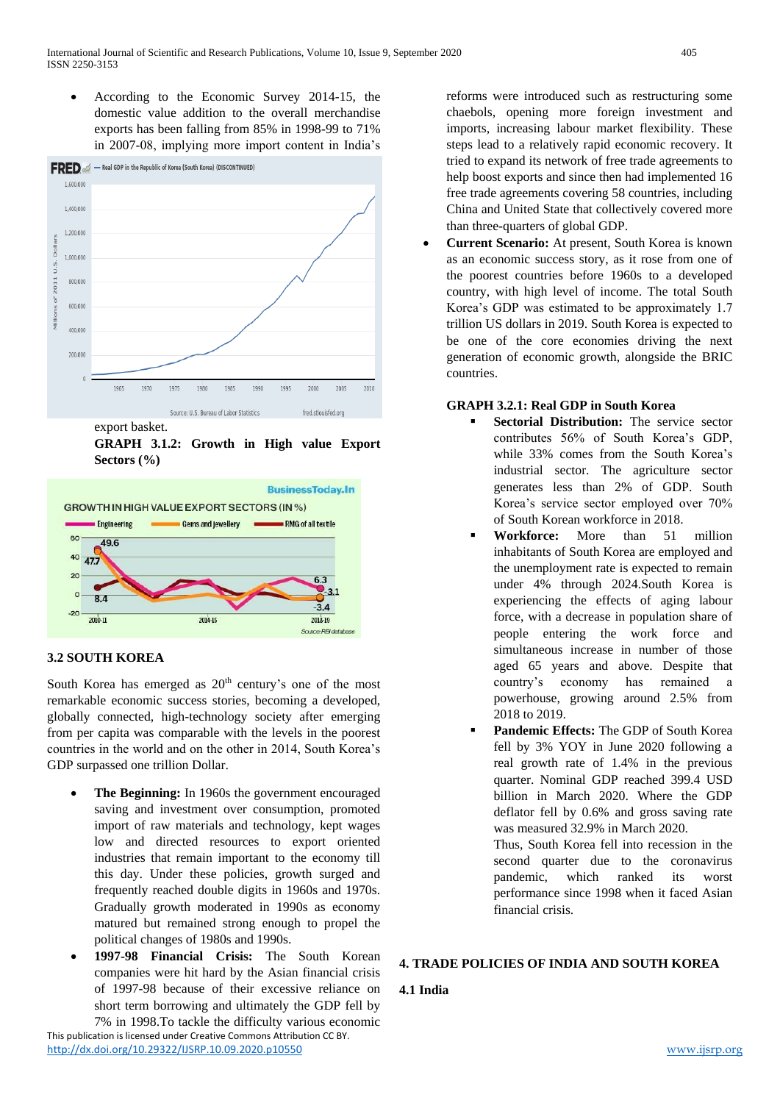According to the Economic Survey 2014-15, the domestic value addition to the overall merchandise exports has been falling from 85% in 1998-99 to 71% in 2007-08, implying more import content in India's



**GRAPH 3.1.2: Growth in High value Export Sectors (%)**



# **3.2 SOUTH KOREA**

South Korea has emerged as  $20<sup>th</sup>$  century's one of the most remarkable economic success stories, becoming a developed, globally connected, high-technology society after emerging from per capita was comparable with the levels in the poorest countries in the world and on the other in 2014, South Korea's GDP surpassed one trillion Dollar.

- **The Beginning:** In 1960s the government encouraged saving and investment over consumption, promoted import of raw materials and technology, kept wages low and directed resources to export oriented industries that remain important to the economy till this day. Under these policies, growth surged and frequently reached double digits in 1960s and 1970s. Gradually growth moderated in 1990s as economy matured but remained strong enough to propel the political changes of 1980s and 1990s.
- **1997-98 Financial Crisis:** The South Korean companies were hit hard by the Asian financial crisis of 1997-98 because of their excessive reliance on short term borrowing and ultimately the GDP fell by

This publication is licensed under Creative Commons Attribution CC BY. <http://dx.doi.org/10.29322/IJSRP.10.09.2020.p10550> [www.ijsrp.org](http://ijsrp.org/) 7% in 1998.To tackle the difficulty various economic

reforms were introduced such as restructuring some chaebols, opening more foreign investment and imports, increasing labour market flexibility. These steps lead to a relatively rapid economic recovery. It tried to expand its network of free trade agreements to help boost exports and since then had implemented 16 free trade agreements covering 58 countries, including China and United State that collectively covered more than three-quarters of global GDP.

 **Current Scenario:** At present, South Korea is known as an economic success story, as it rose from one of the poorest countries before 1960s to a developed country, with high level of income. The total South Korea's GDP was estimated to be approximately 1.7 trillion US dollars in 2019. South Korea is expected to be one of the core economies driving the next generation of economic growth, alongside the BRIC countries.

# **GRAPH 3.2.1: Real GDP in South Korea**

- **Sectorial Distribution:** The service sector contributes 56% of South Korea's GDP, while 33% comes from the South Korea's industrial sector. The agriculture sector generates less than 2% of GDP. South Korea's service sector employed over 70% of South Korean workforce in 2018.
- **Workforce:** More than 51 million inhabitants of South Korea are employed and the unemployment rate is expected to remain under 4% through 2024.South Korea is experiencing the effects of aging labour force, with a decrease in population share of people entering the work force and simultaneous increase in number of those aged 65 years and above. Despite that country's economy has remained a powerhouse, growing around 2.5% from 2018 to 2019.
- **Pandemic Effects:** The GDP of South Korea fell by 3% YOY in June 2020 following a real growth rate of 1.4% in the previous quarter. Nominal GDP reached 399.4 USD billion in March 2020. Where the GDP deflator fell by 0.6% and gross saving rate was measured 32.9% in March 2020.

Thus, South Korea fell into recession in the second quarter due to the coronavirus pandemic, which ranked its worst performance since 1998 when it faced Asian financial crisis.

# **4. TRADE POLICIES OF INDIA AND SOUTH KOREA**

# **4.1 India**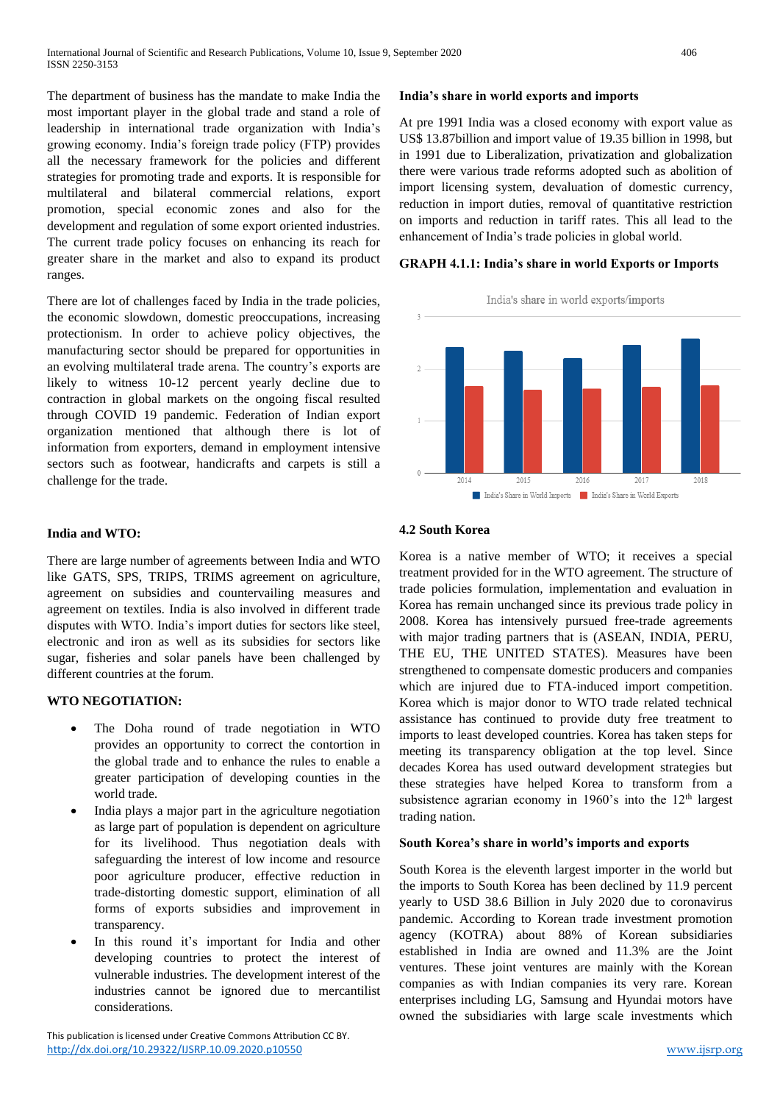The department of business has the mandate to make India the most important player in the global trade and stand a role of leadership in international trade organization with India's growing economy. India's foreign trade policy (FTP) provides all the necessary framework for the policies and different strategies for promoting trade and exports. It is responsible for multilateral and bilateral commercial relations, export promotion, special economic zones and also for the development and regulation of some export oriented industries. The current trade policy focuses on enhancing its reach for greater share in the market and also to expand its product ranges.

There are lot of challenges faced by India in the trade policies, the economic slowdown, domestic preoccupations, increasing protectionism. In order to achieve policy objectives, the manufacturing sector should be prepared for opportunities in an evolving multilateral trade arena. The country's exports are likely to witness 10-12 percent yearly decline due to contraction in global markets on the ongoing fiscal resulted through COVID 19 pandemic. Federation of Indian export organization mentioned that although there is lot of information from exporters, demand in employment intensive sectors such as footwear, handicrafts and carpets is still a challenge for the trade.

## **India and WTO:**

There are large number of agreements between India and WTO like GATS, SPS, TRIPS, TRIMS agreement on agriculture, agreement on subsidies and countervailing measures and agreement on textiles. India is also involved in different trade disputes with WTO. India's import duties for sectors like steel, electronic and iron as well as its subsidies for sectors like sugar, fisheries and solar panels have been challenged by different countries at the forum.

## **WTO NEGOTIATION:**

- The Doha round of trade negotiation in WTO provides an opportunity to correct the contortion in the global trade and to enhance the rules to enable a greater participation of developing counties in the world trade.
- India plays a major part in the agriculture negotiation as large part of population is dependent on agriculture for its livelihood. Thus negotiation deals with safeguarding the interest of low income and resource poor agriculture producer, effective reduction in trade-distorting domestic support, elimination of all forms of exports subsidies and improvement in transparency.
- In this round it's important for India and other developing countries to protect the interest of vulnerable industries. The development interest of the industries cannot be ignored due to mercantilist considerations.

This publication is licensed under Creative Commons Attribution CC BY. <http://dx.doi.org/10.29322/IJSRP.10.09.2020.p10550> [www.ijsrp.org](http://ijsrp.org/)

## **India's share in world exports and imports**

At pre 1991 India was a closed economy with export value as US\$ 13.87billion and import value of 19.35 billion in 1998, but in 1991 due to Liberalization, privatization and globalization there were various trade reforms adopted such as abolition of import licensing system, devaluation of domestic currency, reduction in import duties, removal of quantitative restriction on imports and reduction in tariff rates. This all lead to the enhancement of India's trade policies in global world.

# **GRAPH 4.1.1: India's share in world Exports or Imports**



## **4.2 South Korea**

Korea is a native member of WTO; it receives a special treatment provided for in the WTO agreement. The structure of trade policies formulation, implementation and evaluation in Korea has remain unchanged since its previous trade policy in 2008. Korea has intensively pursued free-trade agreements with major trading partners that is (ASEAN, INDIA, PERU, THE EU, THE UNITED STATES). Measures have been strengthened to compensate domestic producers and companies which are injured due to FTA-induced import competition. Korea which is major donor to WTO trade related technical assistance has continued to provide duty free treatment to imports to least developed countries. Korea has taken steps for meeting its transparency obligation at the top level. Since decades Korea has used outward development strategies but these strategies have helped Korea to transform from a subsistence agrarian economy in 1960's into the 12<sup>th</sup> largest trading nation.

## **South Korea's share in world's imports and exports**

South Korea is the eleventh largest importer in the world but the imports to South Korea has been declined by 11.9 percent yearly to USD 38.6 Billion in July 2020 due to coronavirus pandemic. According to Korean trade investment promotion agency (KOTRA) about 88% of Korean subsidiaries established in India are owned and 11.3% are the Joint ventures. These joint ventures are mainly with the Korean companies as with Indian companies its very rare. Korean enterprises including LG, Samsung and Hyundai motors have owned the subsidiaries with large scale investments which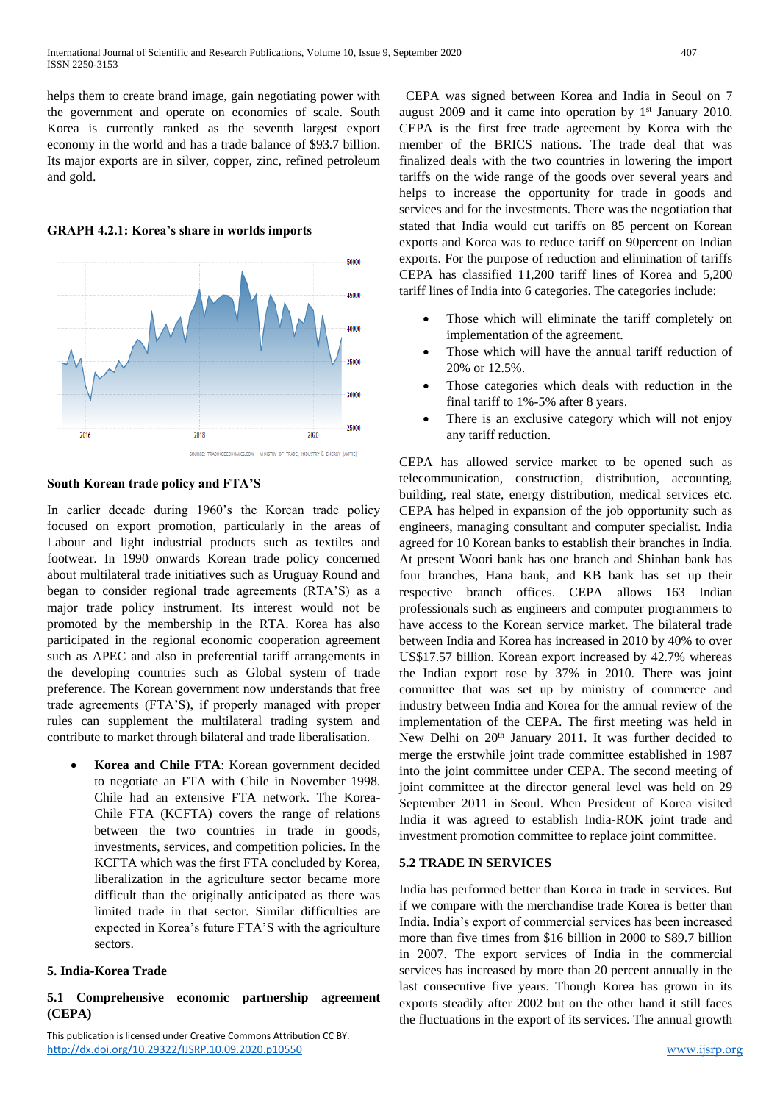helps them to create brand image, gain negotiating power with the government and operate on economies of scale. South Korea is currently ranked as the seventh largest export economy in the world and has a trade balance of \$93.7 billion. Its major exports are in silver, copper, zinc, refined petroleum and gold.

**GRAPH 4.2.1: Korea's share in worlds imports**



#### **South Korean trade policy and FTA'S**

In earlier decade during 1960's the Korean trade policy focused on export promotion, particularly in the areas of Labour and light industrial products such as textiles and footwear. In 1990 onwards Korean trade policy concerned about multilateral trade initiatives such as Uruguay Round and began to consider regional trade agreements (RTA'S) as a major trade policy instrument. Its interest would not be promoted by the membership in the RTA. Korea has also participated in the regional economic cooperation agreement such as APEC and also in preferential tariff arrangements in the developing countries such as Global system of trade preference. The Korean government now understands that free trade agreements (FTA'S), if properly managed with proper rules can supplement the multilateral trading system and contribute to market through bilateral and trade liberalisation.

 **Korea and Chile FTA**: Korean government decided to negotiate an FTA with Chile in November 1998. Chile had an extensive FTA network. The Korea-Chile FTA (KCFTA) covers the range of relations between the two countries in trade in goods, investments, services, and competition policies. In the KCFTA which was the first FTA concluded by Korea, liberalization in the agriculture sector became more difficult than the originally anticipated as there was limited trade in that sector. Similar difficulties are expected in Korea's future FTA'S with the agriculture sectors.

## **5. India-Korea Trade**

# **5.1 Comprehensive economic partnership agreement (CEPA)**

This publication is licensed under Creative Commons Attribution CC BY. <http://dx.doi.org/10.29322/IJSRP.10.09.2020.p10550> [www.ijsrp.org](http://ijsrp.org/)

CEPA was signed between Korea and India in Seoul on 7 august 2009 and it came into operation by  $1<sup>st</sup>$  January 2010. CEPA is the first free trade agreement by Korea with the member of the BRICS nations. The trade deal that was finalized deals with the two countries in lowering the import tariffs on the wide range of the goods over several years and helps to increase the opportunity for trade in goods and services and for the investments. There was the negotiation that stated that India would cut tariffs on 85 percent on Korean exports and Korea was to reduce tariff on 90percent on Indian exports. For the purpose of reduction and elimination of tariffs CEPA has classified 11,200 tariff lines of Korea and 5,200 tariff lines of India into 6 categories. The categories include:

- Those which will eliminate the tariff completely on implementation of the agreement.
- Those which will have the annual tariff reduction of 20% or 12.5%.
- Those categories which deals with reduction in the final tariff to 1%-5% after 8 years.
- There is an exclusive category which will not enjoy any tariff reduction.

CEPA has allowed service market to be opened such as telecommunication, construction, distribution, accounting, building, real state, energy distribution, medical services etc. CEPA has helped in expansion of the job opportunity such as engineers, managing consultant and computer specialist. India agreed for 10 Korean banks to establish their branches in India. At present Woori bank has one branch and Shinhan bank has four branches, Hana bank, and KB bank has set up their respective branch offices. CEPA allows 163 Indian professionals such as engineers and computer programmers to have access to the Korean service market. The bilateral trade between India and Korea has increased in 2010 by 40% to over US\$17.57 billion. Korean export increased by 42.7% whereas the Indian export rose by 37% in 2010. There was joint committee that was set up by ministry of commerce and industry between India and Korea for the annual review of the implementation of the CEPA. The first meeting was held in New Delhi on 20<sup>th</sup> January 2011. It was further decided to merge the erstwhile joint trade committee established in 1987 into the joint committee under CEPA. The second meeting of joint committee at the director general level was held on 29 September 2011 in Seoul. When President of Korea visited India it was agreed to establish India-ROK joint trade and investment promotion committee to replace joint committee.

#### **5.2 TRADE IN SERVICES**

India has performed better than Korea in trade in services. But if we compare with the merchandise trade Korea is better than India. India's export of commercial services has been increased more than five times from \$16 billion in 2000 to \$89.7 billion in 2007. The export services of India in the commercial services has increased by more than 20 percent annually in the last consecutive five years. Though Korea has grown in its exports steadily after 2002 but on the other hand it still faces the fluctuations in the export of its services. The annual growth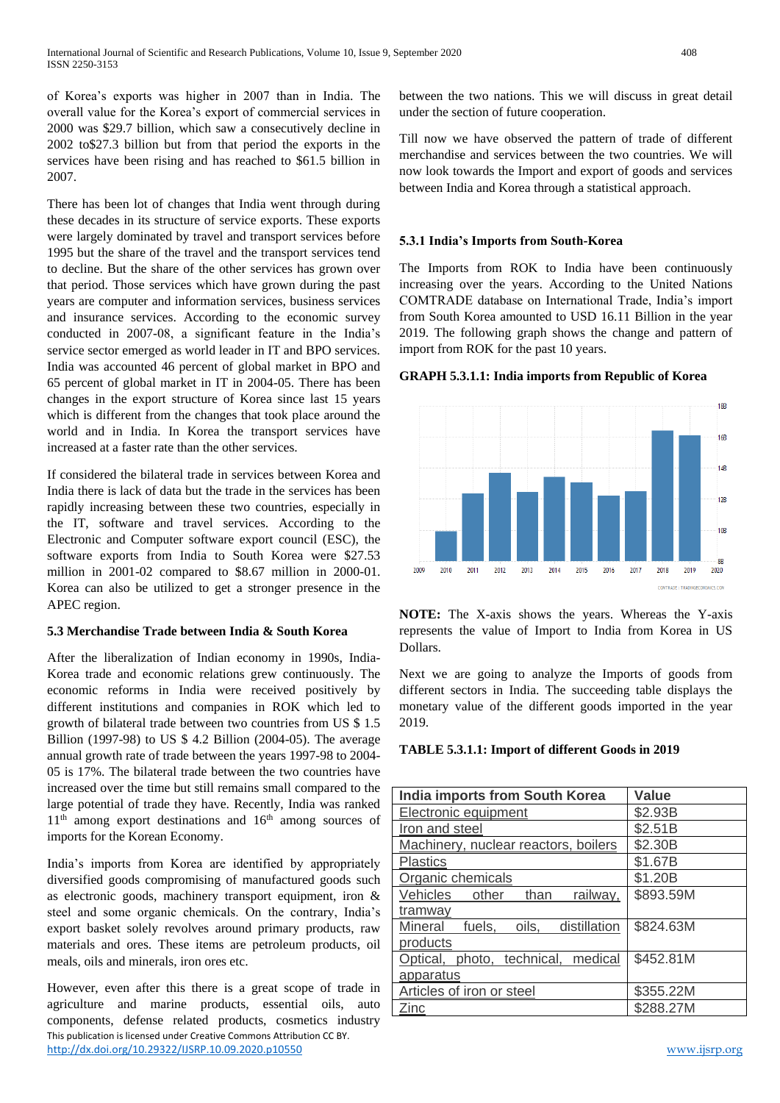of Korea's exports was higher in 2007 than in India. The overall value for the Korea's export of commercial services in 2000 was \$29.7 billion, which saw a consecutively decline in 2002 to\$27.3 billion but from that period the exports in the services have been rising and has reached to \$61.5 billion in 2007.

There has been lot of changes that India went through during these decades in its structure of service exports. These exports were largely dominated by travel and transport services before 1995 but the share of the travel and the transport services tend to decline. But the share of the other services has grown over that period. Those services which have grown during the past years are computer and information services, business services and insurance services. According to the economic survey conducted in 2007-08, a significant feature in the India's service sector emerged as world leader in IT and BPO services. India was accounted 46 percent of global market in BPO and 65 percent of global market in IT in 2004-05. There has been changes in the export structure of Korea since last 15 years which is different from the changes that took place around the world and in India. In Korea the transport services have increased at a faster rate than the other services.

If considered the bilateral trade in services between Korea and India there is lack of data but the trade in the services has been rapidly increasing between these two countries, especially in the IT, software and travel services. According to the Electronic and Computer software export council (ESC), the software exports from India to South Korea were \$27.53 million in 2001-02 compared to \$8.67 million in 2000-01. Korea can also be utilized to get a stronger presence in the APEC region.

## **5.3 Merchandise Trade between India & South Korea**

After the liberalization of Indian economy in 1990s, India-Korea trade and economic relations grew continuously. The economic reforms in India were received positively by different institutions and companies in ROK which led to growth of bilateral trade between two countries from US \$ 1.5 Billion (1997-98) to US \$ 4.2 Billion (2004-05). The average annual growth rate of trade between the years 1997-98 to 2004- 05 is 17%. The bilateral trade between the two countries have increased over the time but still remains small compared to the large potential of trade they have. Recently, India was ranked  $11<sup>th</sup>$  among export destinations and  $16<sup>th</sup>$  among sources of imports for the Korean Economy.

India's imports from Korea are identified by appropriately diversified goods compromising of manufactured goods such as electronic goods, machinery transport equipment, iron & steel and some organic chemicals. On the contrary, India's export basket solely revolves around primary products, raw materials and ores. These items are petroleum products, oil meals, oils and minerals, iron ores etc.

This publication is licensed under Creative Commons Attribution CC BY. <http://dx.doi.org/10.29322/IJSRP.10.09.2020.p10550> [www.ijsrp.org](http://ijsrp.org/) However, even after this there is a great scope of trade in agriculture and marine products, essential oils, auto components, defense related products, cosmetics industry

between the two nations. This we will discuss in great detail under the section of future cooperation.

Till now we have observed the pattern of trade of different merchandise and services between the two countries. We will now look towards the Import and export of goods and services between India and Korea through a statistical approach.

## **5.3.1 India's Imports from South-Korea**

The Imports from ROK to India have been continuously increasing over the years. According to the United Nations COMTRADE database on International Trade, India's import from South Korea amounted to USD 16.11 Billion in the year 2019. The following graph shows the change and pattern of import from ROK for the past 10 years.

## **GRAPH 5.3.1.1: India imports from Republic of Korea**



**NOTE:** The X-axis shows the years. Whereas the Y-axis represents the value of Import to India from Korea in US Dollars.

Next we are going to analyze the Imports of goods from different sectors in India. The succeeding table displays the monetary value of the different goods imported in the year 2019.

#### **TABLE 5.3.1.1: Import of different Goods in 2019**

| <b>India imports from South Korea</b>   | <b>Value</b> |
|-----------------------------------------|--------------|
| Electronic equipment                    | \$2.93B      |
| Iron and steel                          | \$2.51B      |
| Machinery, nuclear reactors, boilers    | \$2.30B      |
| <b>Plastics</b>                         | \$1.67B      |
| Organic chemicals                       | \$1.20B      |
| railway,<br>Vehicles<br>other<br>than   | \$893.59M    |
| tramway                                 |              |
| oils, distillation<br>fuels,<br>Mineral | \$824.63M    |
| products                                |              |
| Optical, photo, technical, medical      | \$452.81M    |
| apparatus                               |              |
| Articles of iron or steel               | \$355.22M    |
| Zinc                                    | \$288.27M    |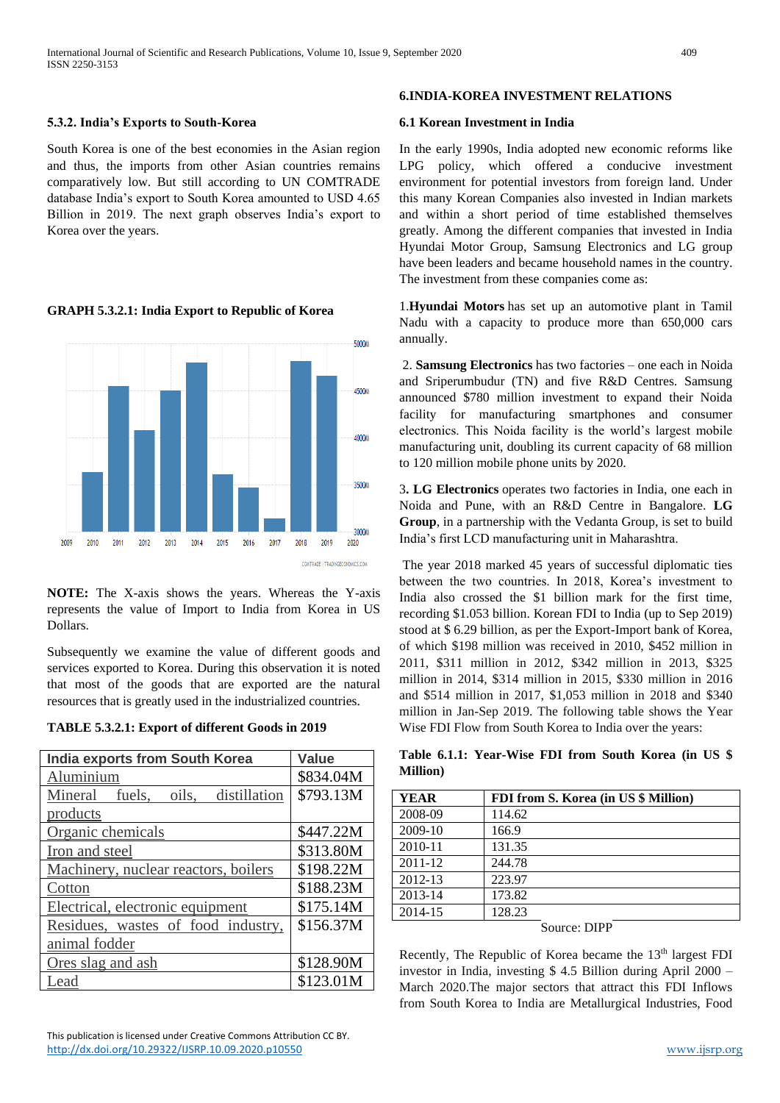## **5.3.2. India's Exports to South-Korea**

South Korea is one of the best economies in the Asian region and thus, the imports from other Asian countries remains comparatively low. But still according to UN COMTRADE database India's export to South Korea amounted to USD 4.65 Billion in 2019. The next graph observes India's export to Korea over the years.

#### 5000M 4500M 4000 3500 3000M 2010 2009 2010 2011 2012 2013  $2014$ 2015 2016 2017 2018 2020 COMTRADE | TRADINGECONOMICS.COM

#### **GRAPH 5.3.2.1: India Export to Republic of Korea**

**NOTE:** The X-axis shows the years. Whereas the Y-axis represents the value of Import to India from Korea in US Dollars.

Subsequently we examine the value of different goods and services exported to Korea. During this observation it is noted that most of the goods that are exported are the natural resources that is greatly used in the industrialized countries.

**TABLE 5.3.2.1: Export of different Goods in 2019**

| <b>India exports from South Korea</b> | <b>Value</b> |  |  |
|---------------------------------------|--------------|--|--|
| Aluminium                             | \$834.04M    |  |  |
| fuels, oils, distillation<br>Mineral  | \$793.13M    |  |  |
| products                              |              |  |  |
| Organic chemicals                     | \$447.22M    |  |  |
| Iron and steel                        | \$313.80M    |  |  |
| Machinery, nuclear reactors, boilers  | \$198.22M    |  |  |
| Cotton                                | \$188.23M    |  |  |
| Electrical, electronic equipment      | \$175.14M    |  |  |
| Residues, wastes of food industry,    | \$156.37M    |  |  |
| animal fodder                         |              |  |  |
| Ores slag and ash                     | \$128.90M    |  |  |
| Lead                                  | \$123.01M    |  |  |

## **6.INDIA-KOREA INVESTMENT RELATIONS**

## **6.1 Korean Investment in India**

In the early 1990s, India adopted new economic reforms like LPG policy, which offered a conducive investment environment for potential investors from foreign land. Under this many Korean Companies also invested in Indian markets and within a short period of time established themselves greatly. Among the different companies that invested in India Hyundai Motor Group, Samsung Electronics and LG group have been leaders and became household names in the country. The investment from these companies come as:

1.**Hyundai Motors** has set up an automotive plant in Tamil Nadu with a capacity to produce more than 650,000 cars annually.

2. **Samsung Electronics** has two factories – one each in Noida and Sriperumbudur (TN) and five R&D Centres. Samsung announced \$780 million investment to expand their Noida facility for manufacturing smartphones and consumer electronics. This Noida facility is the world's largest mobile manufacturing unit, doubling its current capacity of 68 million to 120 million mobile phone units by 2020.

3**. LG Electronics** operates two factories in India, one each in Noida and Pune, with an R&D Centre in Bangalore. **LG Group**, in a partnership with the Vedanta Group, is set to build India's first LCD manufacturing unit in Maharashtra.

The year 2018 marked 45 years of successful diplomatic ties between the two countries. In 2018, Korea's investment to India also crossed the \$1 billion mark for the first time, recording \$1.053 billion. Korean FDI to India (up to Sep 2019) stood at \$ 6.29 billion, as per the Export-Import bank of Korea, of which \$198 million was received in 2010, \$452 million in 2011, \$311 million in 2012, \$342 million in 2013, \$325 million in 2014, \$314 million in 2015, \$330 million in 2016 and \$514 million in 2017, \$1,053 million in 2018 and \$340 million in Jan-Sep 2019. The following table shows the Year Wise FDI Flow from South Korea to India over the years:

**Table 6.1.1: Year-Wise FDI from South Korea (in US \$ Million)**

| <b>YEAR</b> | <b>FDI from S. Korea (in US \$ Million)</b> |
|-------------|---------------------------------------------|
| 2008-09     | 114.62                                      |
| 2009-10     | 166.9                                       |
| 2010-11     | 131.35                                      |
| 2011-12     | 244.78                                      |
| 2012-13     | 223.97                                      |
| 2013-14     | 173.82                                      |
| 2014-15     | 128.23                                      |
|             |                                             |

Source: DIPP

Recently, The Republic of Korea became the 13<sup>th</sup> largest FDI investor in India, investing \$ 4.5 Billion during April 2000 – March 2020.The major sectors that attract this FDI Inflows from South Korea to India are Metallurgical Industries, Food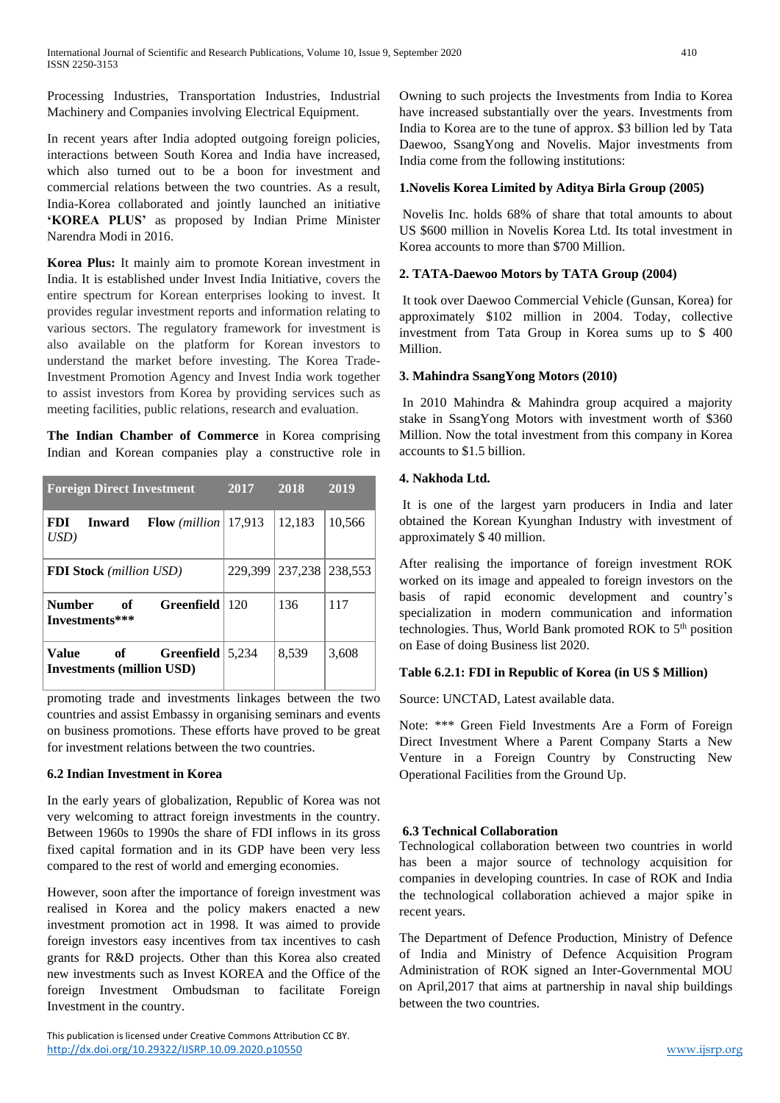Processing Industries, Transportation Industries, Industrial Machinery and Companies involving Electrical Equipment.

In recent years after India adopted outgoing foreign policies, interactions between South Korea and India have increased, which also turned out to be a boon for investment and commercial relations between the two countries. As a result, India-Korea collaborated and jointly launched an initiative **'KOREA PLUS'** as proposed by Indian Prime Minister Narendra Modi in 2016.

**Korea Plus:** It mainly aim to promote Korean investment in India. It is established under Invest India Initiative, covers the entire spectrum for Korean enterprises looking to invest. It provides regular investment reports and information relating to various sectors. The regulatory framework for investment is also available on the platform for Korean investors to understand the market before investing. The Korea Trade-Investment Promotion Agency and Invest India work together to assist investors from Korea by providing services such as meeting facilities, public relations, research and evaluation.

**The Indian Chamber of Commerce** in Korea comprising Indian and Korean companies play a constructive role in

| <b>Foreign Direct Investment</b>                                                | 2017    | 2018    | 2019    |
|---------------------------------------------------------------------------------|---------|---------|---------|
| <b>FDI</b><br><b>Flow</b> ( <i>million</i> )<br><b>Inward</b><br>$\mathit{USD}$ | 17.913  | 12,183  | 10,566  |
| <b>FDI Stock</b> (million USD)                                                  | 229,399 | 237,238 | 238.553 |
| Greenfield<br><b>Number</b><br>of<br>Investments***                             | 120     | 136     | 117     |
| Value<br>of<br><b>Greenfield</b><br><b>Investments (million USD)</b>            | 5.234   | 8,539   | 3,608   |

promoting trade and investments linkages between the two countries and assist Embassy in organising seminars and events on business promotions. These efforts have proved to be great for investment relations between the two countries.

## **6.2 Indian Investment in Korea**

In the early years of globalization, Republic of Korea was not very welcoming to attract foreign investments in the country. Between 1960s to 1990s the share of FDI inflows in its gross fixed capital formation and in its GDP have been very less compared to the rest of world and emerging economies.

However, soon after the importance of foreign investment was realised in Korea and the policy makers enacted a new investment promotion act in 1998. It was aimed to provide foreign investors easy incentives from tax incentives to cash grants for R&D projects. Other than this Korea also created new investments such as Invest KOREA and the Office of the foreign Investment Ombudsman to facilitate Foreign Investment in the country.

This publication is licensed under Creative Commons Attribution CC BY. <http://dx.doi.org/10.29322/IJSRP.10.09.2020.p10550> [www.ijsrp.org](http://ijsrp.org/)

Owning to such projects the Investments from India to Korea have increased substantially over the years. Investments from India to Korea are to the tune of approx. \$3 billion led by Tata Daewoo, SsangYong and Novelis. Major investments from India come from the following institutions:

## **1.Novelis Korea Limited by Aditya Birla Group (2005)**

Novelis Inc. holds 68% of share that total amounts to about US \$600 million in Novelis Korea Ltd. Its total investment in Korea accounts to more than \$700 Million.

## **2. TATA-Daewoo Motors by TATA Group (2004)**

It took over Daewoo Commercial Vehicle (Gunsan, Korea) for approximately \$102 million in 2004. Today, collective investment from Tata Group in Korea sums up to \$ 400 Million.

## **3. Mahindra SsangYong Motors (2010)**

In 2010 Mahindra & Mahindra group acquired a majority stake in SsangYong Motors with investment worth of \$360 Million. Now the total investment from this company in Korea accounts to \$1.5 billion.

## **4. Nakhoda Ltd.**

It is one of the largest yarn producers in India and later obtained the Korean Kyunghan Industry with investment of approximately \$ 40 million.

After realising the importance of foreign investment ROK worked on its image and appealed to foreign investors on the basis of rapid economic development and country's specialization in modern communication and information technologies. Thus, World Bank promoted ROK to 5<sup>th</sup> position on Ease of doing Business list 2020.

## **Table 6.2.1: FDI in Republic of Korea (in US \$ Million)**

Source: UNCTAD, Latest available data.

Note: \*\*\* Green Field Investments Are a Form of Foreign Direct Investment Where a Parent Company Starts a New Venture in a Foreign Country by Constructing New Operational Facilities from the Ground Up.

# **6.3 Technical Collaboration**

Technological collaboration between two countries in world has been a major source of technology acquisition for companies in developing countries. In case of ROK and India the technological collaboration achieved a major spike in recent years.

The Department of Defence Production, Ministry of Defence of India and Ministry of Defence Acquisition Program Administration of ROK signed an Inter-Governmental MOU on April,2017 that aims at partnership in naval ship buildings between the two countries.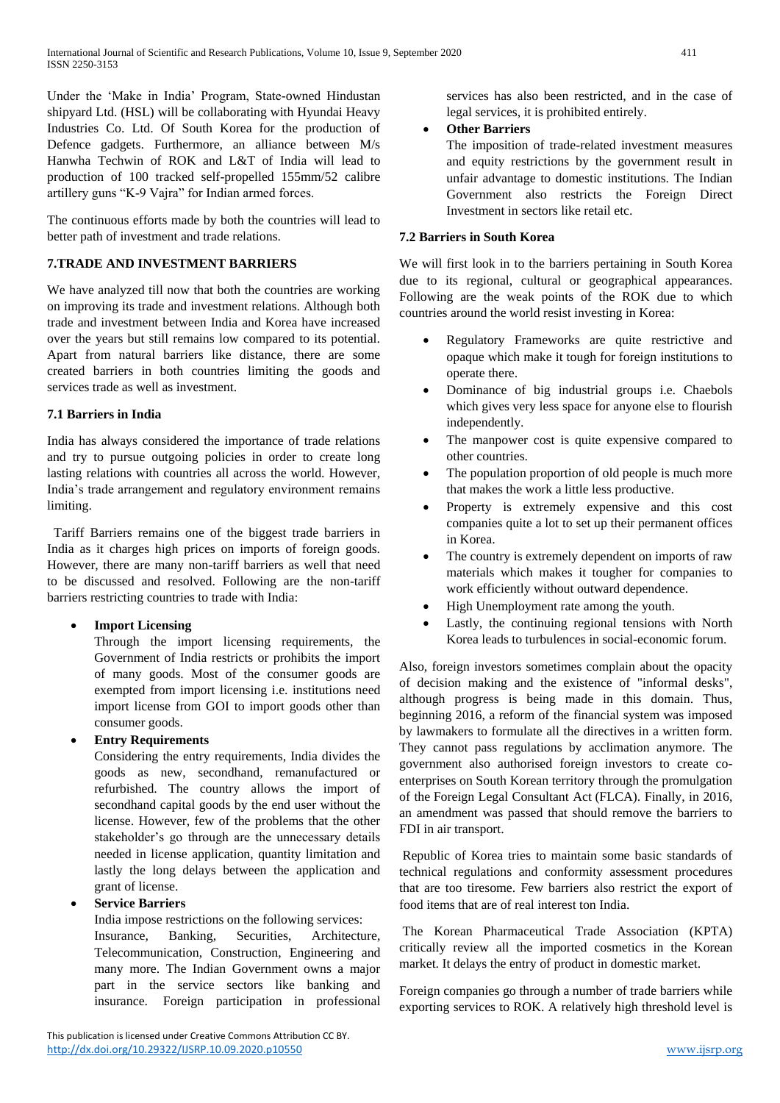Under the 'Make in India' Program, State-owned Hindustan shipyard Ltd. (HSL) will be collaborating with Hyundai Heavy Industries Co. Ltd. Of South Korea for the production of Defence gadgets. Furthermore, an alliance between M/s Hanwha Techwin of ROK and L&T of India will lead to production of 100 tracked self-propelled 155mm/52 calibre artillery guns "K-9 Vajra" for Indian armed forces.

The continuous efforts made by both the countries will lead to better path of investment and trade relations.

# **7.TRADE AND INVESTMENT BARRIERS**

We have analyzed till now that both the countries are working on improving its trade and investment relations. Although both trade and investment between India and Korea have increased over the years but still remains low compared to its potential. Apart from natural barriers like distance, there are some created barriers in both countries limiting the goods and services trade as well as investment.

## **7.1 Barriers in India**

India has always considered the importance of trade relations and try to pursue outgoing policies in order to create long lasting relations with countries all across the world. However, India's trade arrangement and regulatory environment remains limiting.

 Tariff Barriers remains one of the biggest trade barriers in India as it charges high prices on imports of foreign goods. However, there are many non-tariff barriers as well that need to be discussed and resolved. Following are the non-tariff barriers restricting countries to trade with India:

**Import Licensing**

Through the import licensing requirements, the Government of India restricts or prohibits the import of many goods. Most of the consumer goods are exempted from import licensing i.e. institutions need import license from GOI to import goods other than consumer goods.

# **Entry Requirements**

Considering the entry requirements, India divides the goods as new, secondhand, remanufactured or refurbished. The country allows the import of secondhand capital goods by the end user without the license. However, few of the problems that the other stakeholder's go through are the unnecessary details needed in license application, quantity limitation and lastly the long delays between the application and grant of license.

# **Service Barriers**

India impose restrictions on the following services:

Insurance, Banking, Securities, Architecture, Telecommunication, Construction, Engineering and many more. The Indian Government owns a major part in the service sectors like banking and insurance. Foreign participation in professional

services has also been restricted, and in the case of legal services, it is prohibited entirely.

## **Other Barriers**

The imposition of trade-related investment measures and equity restrictions by the government result in unfair advantage to domestic institutions. The Indian Government also restricts the Foreign Direct Investment in sectors like retail etc.

# **7.2 Barriers in South Korea**

We will first look in to the barriers pertaining in South Korea due to its regional, cultural or geographical appearances. Following are the weak points of the ROK due to which countries around the world resist investing in Korea:

- Regulatory Frameworks are quite restrictive and opaque which make it tough for foreign institutions to operate there.
- Dominance of big industrial groups i.e. Chaebols which gives very less space for anyone else to flourish independently.
- The manpower cost is quite expensive compared to other countries.
- The population proportion of old people is much more that makes the work a little less productive.
- Property is extremely expensive and this cost companies quite a lot to set up their permanent offices in Korea.
- The country is extremely dependent on imports of raw materials which makes it tougher for companies to work efficiently without outward dependence.
- High Unemployment rate among the youth.
- Lastly, the continuing regional tensions with North Korea leads to turbulences in social-economic forum.

Also, foreign investors sometimes complain about the opacity of decision making and the existence of "informal desks", although progress is being made in this domain. Thus, beginning 2016, a reform of the financial system was imposed by lawmakers to formulate all the directives in a written form. They cannot pass regulations by acclimation anymore. The government also authorised foreign investors to create coenterprises on South Korean territory through the promulgation of the [Foreign Legal Consultant Act](https://elaw.klri.re.kr/eng_service/lawView.do?hseq=24533&lang=ENG) (FLCA). Finally, in 2016, an amendment was passed that should remove the barriers to FDI in air transport.

Republic of Korea tries to maintain some basic standards of technical regulations and conformity assessment procedures that are too tiresome. Few barriers also restrict the export of food items that are of real interest ton India.

The Korean Pharmaceutical Trade Association (KPTA) critically review all the imported cosmetics in the Korean market. It delays the entry of product in domestic market.

Foreign companies go through a number of trade barriers while exporting services to ROK. A relatively high threshold level is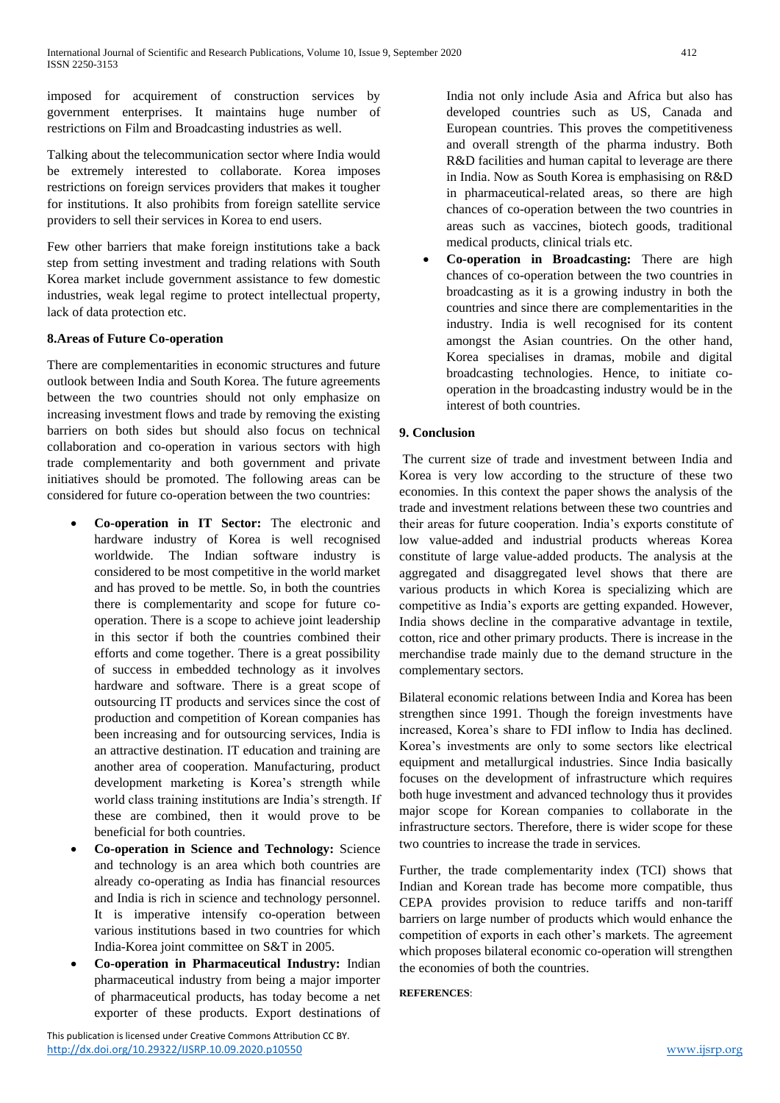imposed for acquirement of construction services by government enterprises. It maintains huge number of restrictions on Film and Broadcasting industries as well.

Talking about the telecommunication sector where India would be extremely interested to collaborate. Korea imposes restrictions on foreign services providers that makes it tougher for institutions. It also prohibits from foreign satellite service providers to sell their services in Korea to end users.

Few other barriers that make foreign institutions take a back step from setting investment and trading relations with South Korea market include government assistance to few domestic industries, weak legal regime to protect intellectual property, lack of data protection etc.

## **8.Areas of Future Co-operation**

There are complementarities in economic structures and future outlook between India and South Korea. The future agreements between the two countries should not only emphasize on increasing investment flows and trade by removing the existing barriers on both sides but should also focus on technical collaboration and co-operation in various sectors with high trade complementarity and both government and private initiatives should be promoted. The following areas can be considered for future co-operation between the two countries:

- **Co-operation in IT Sector:** The electronic and hardware industry of Korea is well recognised worldwide. The Indian software industry is considered to be most competitive in the world market and has proved to be mettle. So, in both the countries there is complementarity and scope for future cooperation. There is a scope to achieve joint leadership in this sector if both the countries combined their efforts and come together. There is a great possibility of success in embedded technology as it involves hardware and software. There is a great scope of outsourcing IT products and services since the cost of production and competition of Korean companies has been increasing and for outsourcing services, India is an attractive destination. IT education and training are another area of cooperation. Manufacturing, product development marketing is Korea's strength while world class training institutions are India's strength. If these are combined, then it would prove to be beneficial for both countries.
- **Co-operation in Science and Technology:** Science and technology is an area which both countries are already co-operating as India has financial resources and India is rich in science and technology personnel. It is imperative intensify co-operation between various institutions based in two countries for which India-Korea joint committee on S&T in 2005.
- **Co-operation in Pharmaceutical Industry:** Indian pharmaceutical industry from being a major importer of pharmaceutical products, has today become a net exporter of these products. Export destinations of

India not only include Asia and Africa but also has developed countries such as US, Canada and European countries. This proves the competitiveness and overall strength of the pharma industry. Both R&D facilities and human capital to leverage are there in India. Now as South Korea is emphasising on R&D in pharmaceutical-related areas, so there are high chances of co-operation between the two countries in areas such as vaccines, biotech goods, traditional medical products, clinical trials etc.

 **Co-operation in Broadcasting:** There are high chances of co-operation between the two countries in broadcasting as it is a growing industry in both the countries and since there are complementarities in the industry. India is well recognised for its content amongst the Asian countries. On the other hand, Korea specialises in dramas, mobile and digital broadcasting technologies. Hence, to initiate cooperation in the broadcasting industry would be in the interest of both countries.

## **9. Conclusion**

The current size of trade and investment between India and Korea is very low according to the structure of these two economies. In this context the paper shows the analysis of the trade and investment relations between these two countries and their areas for future cooperation. India's exports constitute of low value-added and industrial products whereas Korea constitute of large value-added products. The analysis at the aggregated and disaggregated level shows that there are various products in which Korea is specializing which are competitive as India's exports are getting expanded. However, India shows decline in the comparative advantage in textile, cotton, rice and other primary products. There is increase in the merchandise trade mainly due to the demand structure in the complementary sectors.

Bilateral economic relations between India and Korea has been strengthen since 1991. Though the foreign investments have increased, Korea's share to FDI inflow to India has declined. Korea's investments are only to some sectors like electrical equipment and metallurgical industries. Since India basically focuses on the development of infrastructure which requires both huge investment and advanced technology thus it provides major scope for Korean companies to collaborate in the infrastructure sectors. Therefore, there is wider scope for these two countries to increase the trade in services.

Further, the trade complementarity index (TCI) shows that Indian and Korean trade has become more compatible, thus CEPA provides provision to reduce tariffs and non-tariff barriers on large number of products which would enhance the competition of exports in each other's markets. The agreement which proposes bilateral economic co-operation will strengthen the economies of both the countries.

**REFERENCES**: